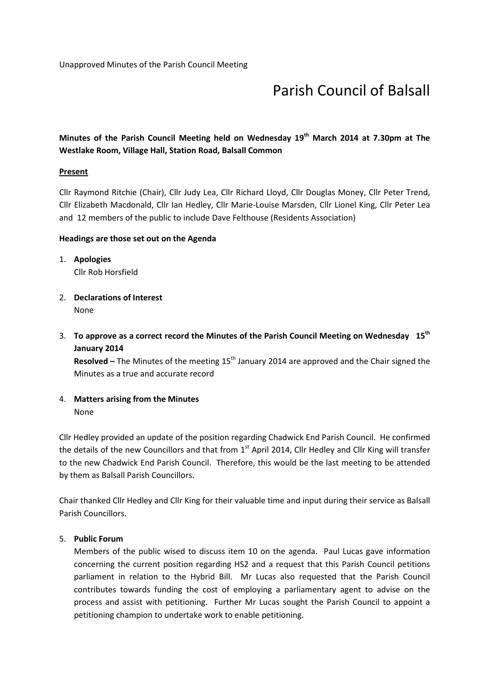# Parish Council of Balsall

# Minutes of the Parish Council Meeting held on Wednesday 19<sup>th</sup> March 2014 at 7.30pm at The Westlake Room, Village Hall, Station Road, Balsall Common

#### **Present**

Cllr Raymond Ritchie (Chair), Cllr Judy Lea, Cllr Richard Lloyd, Cllr Douglas Money, Cllr Peter Trend, Cllr Elizabeth Macdonald, Cllr Ian Hedley, Cllr Marie-Louise Marsden, Cllr Lionel King, Cllr Peter Lea and 12 members of the public to include Dave Felthouse (Residents Association)

#### Headings are those set out on the Agenda

- 1. Apologies Cllr Rob Horsfield
- 2. Declarations of Interest None
- 3. To approve as a correct record the Minutes of the Parish Council Meeting on Wednesday  $15<sup>th</sup>$ January 2014

Resolved – The Minutes of the meeting  $15<sup>th</sup>$  January 2014 are approved and the Chair signed the Minutes as a true and accurate record

4. Matters arising from the Minutes None

Cllr Hedley provided an update of the position regarding Chadwick End Parish Council. He confirmed the details of the new Councillors and that from  $1<sup>st</sup>$  April 2014, Cllr Hedley and Cllr King will transfer to the new Chadwick End Parish Council. Therefore, this would be the last meeting to be attended by them as Balsall Parish Councillors.

Chair thanked Cllr Hedley and Cllr King for their valuable time and input during their service as Balsall Parish Councillors.

### 5. Public Forum

Members of the public wised to discuss item 10 on the agenda. Paul Lucas gave information concerning the current position regarding HS2 and a request that this Parish Council petitions parliament in relation to the Hybrid Bill. Mr Lucas also requested that the Parish Council contributes towards funding the cost of employing a parliamentary agent to advise on the process and assist with petitioning. Further Mr Lucas sought the Parish Council to appoint a petitioning champion to undertake work to enable petitioning.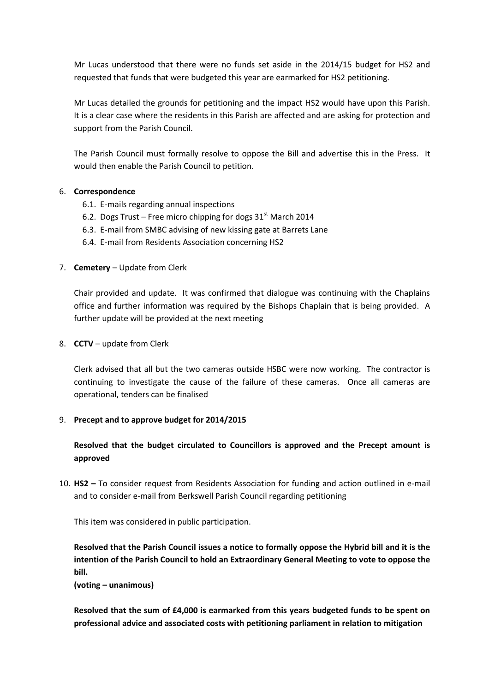Mr Lucas understood that there were no funds set aside in the 2014/15 budget for HS2 and requested that funds that were budgeted this year are earmarked for HS2 petitioning.

Mr Lucas detailed the grounds for petitioning and the impact HS2 would have upon this Parish. It is a clear case where the residents in this Parish are affected and are asking for protection and support from the Parish Council.

The Parish Council must formally resolve to oppose the Bill and advertise this in the Press. It would then enable the Parish Council to petition.

# 6. Correspondence

- 6.1. E-mails regarding annual inspections
- 6.2. Dogs Trust Free micro chipping for dogs  $31<sup>st</sup>$  March 2014
- 6.3. E-mail from SMBC advising of new kissing gate at Barrets Lane
- 6.4. E-mail from Residents Association concerning HS2
- 7. **Cemetery** Update from Clerk

Chair provided and update. It was confirmed that dialogue was continuing with the Chaplains office and further information was required by the Bishops Chaplain that is being provided. A further update will be provided at the next meeting

### 8. **CCTV** – update from Clerk

Clerk advised that all but the two cameras outside HSBC were now working. The contractor is continuing to investigate the cause of the failure of these cameras. Once all cameras are operational, tenders can be finalised

#### 9. Precept and to approve budget for 2014/2015

Resolved that the budget circulated to Councillors is approved and the Precept amount is approved

10. HS2 – To consider request from Residents Association for funding and action outlined in e-mail and to consider e-mail from Berkswell Parish Council regarding petitioning

This item was considered in public participation.

Resolved that the Parish Council issues a notice to formally oppose the Hybrid bill and it is the intention of the Parish Council to hold an Extraordinary General Meeting to vote to oppose the bill.

(voting – unanimous)

Resolved that the sum of £4,000 is earmarked from this years budgeted funds to be spent on professional advice and associated costs with petitioning parliament in relation to mitigation